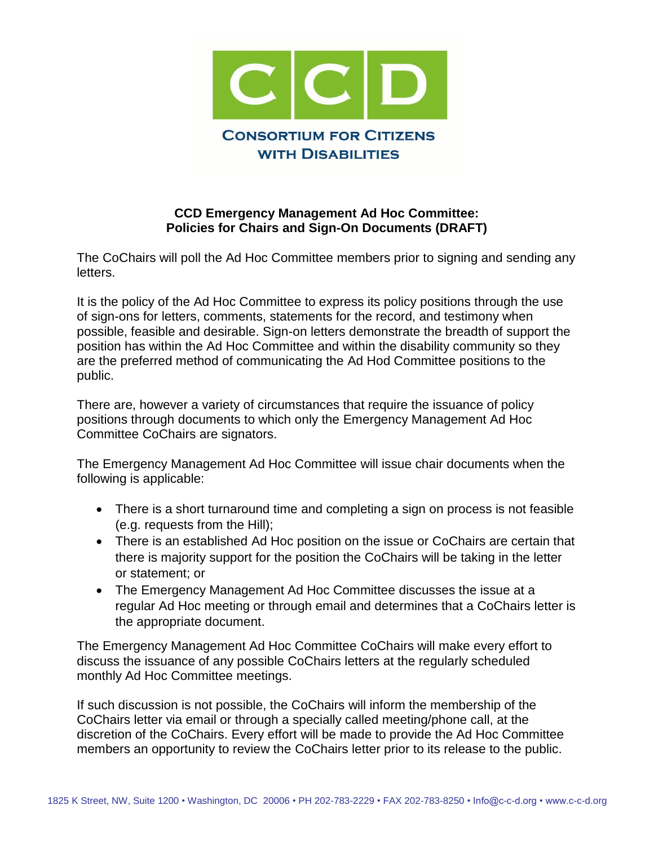

## **CCD Emergency Management Ad Hoc Committee: Policies for Chairs and Sign-On Documents (DRAFT)**

The CoChairs will poll the Ad Hoc Committee members prior to signing and sending any letters.

It is the policy of the Ad Hoc Committee to express its policy positions through the use of sign-ons for letters, comments, statements for the record, and testimony when possible, feasible and desirable. Sign-on letters demonstrate the breadth of support the position has within the Ad Hoc Committee and within the disability community so they are the preferred method of communicating the Ad Hod Committee positions to the public.

There are, however a variety of circumstances that require the issuance of policy positions through documents to which only the Emergency Management Ad Hoc Committee CoChairs are signators.

The Emergency Management Ad Hoc Committee will issue chair documents when the following is applicable:

- There is a short turnaround time and completing a sign on process is not feasible (e.g. requests from the Hill);
- There is an established Ad Hoc position on the issue or CoChairs are certain that there is majority support for the position the CoChairs will be taking in the letter or statement; or
- The Emergency Management Ad Hoc Committee discusses the issue at a regular Ad Hoc meeting or through email and determines that a CoChairs letter is the appropriate document.

The Emergency Management Ad Hoc Committee CoChairs will make every effort to discuss the issuance of any possible CoChairs letters at the regularly scheduled monthly Ad Hoc Committee meetings.

If such discussion is not possible, the CoChairs will inform the membership of the CoChairs letter via email or through a specially called meeting/phone call, at the discretion of the CoChairs. Every effort will be made to provide the Ad Hoc Committee members an opportunity to review the CoChairs letter prior to its release to the public.